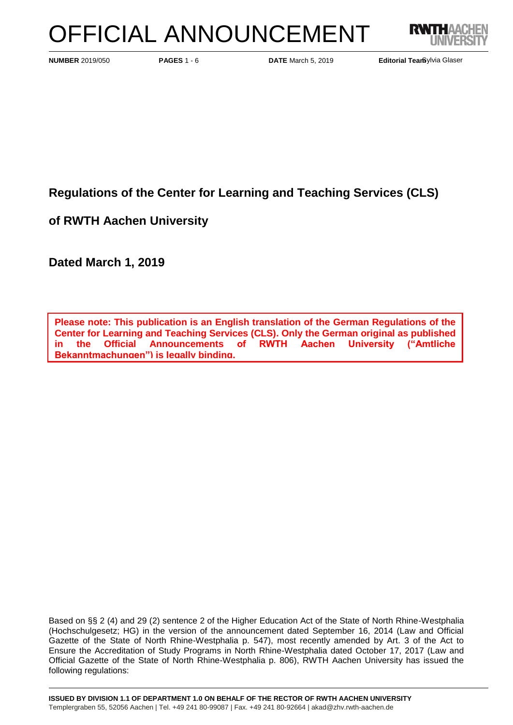# OFFICIAL ANNOUNCEMENT



**PAGES 1 - 6 <b>DATE** March 5, 2019 **Editorial Team PAGES 1 - 6 <b>DATE** March 5, 2019 **Editorial Team** 

Editorial Tearbylvia Glaser

**Regulations of the Center for Learning and Teaching Services (CLS)**

**of RWTH Aachen University**

**Dated March 1, 2019**

**Please note: This publication is an English translation of the German Regulations of the Center for Learning and Teaching Services (CLS). Only the German original as published in the Official Announcements of RWTH Aachen University ("Amtliche Bekanntmachungen") is legally binding.**

Based on §§ 2 (4) and 29 (2) sentence 2 of the Higher Education Act of the State of North Rhine-Westphalia (Hochschulgesetz; HG) in the version of the announcement dated September 16, 2014 (Law and Official Gazette of the State of North Rhine-Westphalia p. 547), most recently amended by Art. 3 of the Act to Ensure the Accreditation of Study Programs in North Rhine-Westphalia dated October 17, 2017 (Law and Official Gazette of the State of North Rhine-Westphalia p. 806), RWTH Aachen University has issued the following regulations: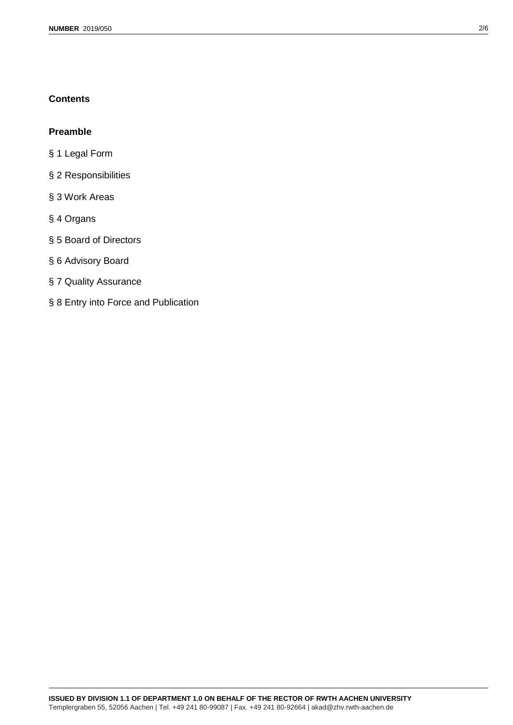# **Contents**

# **Preamble**

- § 1 Legal Form
- § 2 Responsibilities
- § 3 Work Areas
- § 4 Organs
- § 5 Board of Directors
- § 6 Advisory Board
- § 7 Quality Assurance
- § 8 Entry into Force and Publication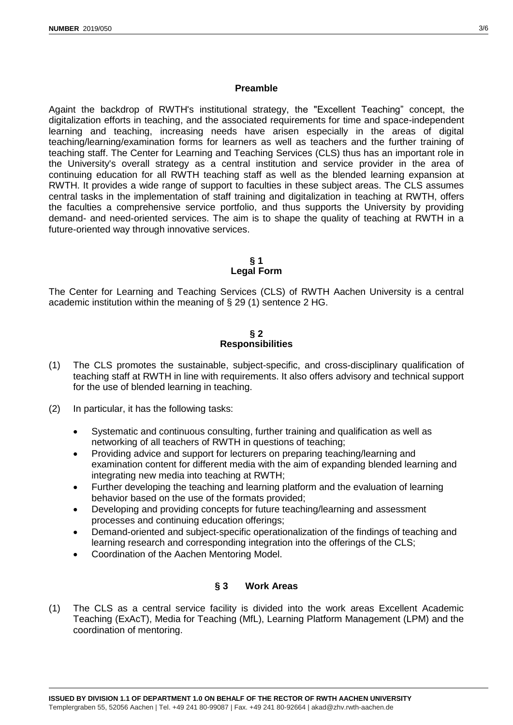#### **Preamble**

Againt the backdrop of RWTH's institutional strategy, the "Excellent Teaching" concept, the digitalization efforts in teaching, and the associated requirements for time and space-independent learning and teaching, increasing needs have arisen especially in the areas of digital teaching/learning/examination forms for learners as well as teachers and the further training of teaching staff. The Center for Learning and Teaching Services (CLS) thus has an important role in the University's overall strategy as a central institution and service provider in the area of continuing education for all RWTH teaching staff as well as the blended learning expansion at RWTH. It provides a wide range of support to faculties in these subject areas. The CLS assumes central tasks in the implementation of staff training and digitalization in teaching at RWTH, offers the faculties a comprehensive service portfolio, and thus supports the University by providing demand- and need-oriented services. The aim is to shape the quality of teaching at RWTH in a future-oriented way through innovative services.

> **§ 1 Legal Form**

The Center for Learning and Teaching Services (CLS) of RWTH Aachen University is a central academic institution within the meaning of § 29 (1) sentence 2 HG.

#### **§ 2 Responsibilities**

- (1) The CLS promotes the sustainable, subject-specific, and cross-disciplinary qualification of teaching staff at RWTH in line with requirements. It also offers advisory and technical support for the use of blended learning in teaching.
- (2) In particular, it has the following tasks:
	- Systematic and continuous consulting, further training and qualification as well as networking of all teachers of RWTH in questions of teaching;
	- Providing advice and support for lecturers on preparing teaching/learning and examination content for different media with the aim of expanding blended learning and integrating new media into teaching at RWTH;
	- Further developing the teaching and learning platform and the evaluation of learning behavior based on the use of the formats provided;
	- Developing and providing concepts for future teaching/learning and assessment processes and continuing education offerings;
	- Demand-oriented and subject-specific operationalization of the findings of teaching and learning research and corresponding integration into the offerings of the CLS;
	- Coordination of the Aachen Mentoring Model.

## **§ 3 Work Areas**

(1) The CLS as a central service facility is divided into the work areas Excellent Academic Teaching (ExAcT), Media for Teaching (MfL), Learning Platform Management (LPM) and the coordination of mentoring.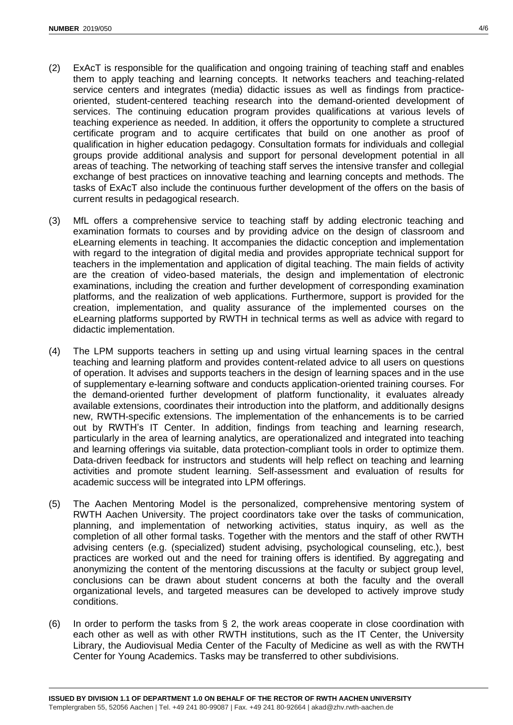- (2) ExAcT is responsible for the qualification and ongoing training of teaching staff and enables them to apply teaching and learning concepts. It networks teachers and teaching-related service centers and integrates (media) didactic issues as well as findings from practiceoriented, student-centered teaching research into the demand-oriented development of services. The continuing education program provides qualifications at various levels of teaching experience as needed. In addition, it offers the opportunity to complete a structured certificate program and to acquire certificates that build on one another as proof of qualification in higher education pedagogy. Consultation formats for individuals and collegial groups provide additional analysis and support for personal development potential in all areas of teaching. The networking of teaching staff serves the intensive transfer and collegial exchange of best practices on innovative teaching and learning concepts and methods. The tasks of ExAcT also include the continuous further development of the offers on the basis of current results in pedagogical research.
- (3) MfL offers a comprehensive service to teaching staff by adding electronic teaching and examination formats to courses and by providing advice on the design of classroom and eLearning elements in teaching. It accompanies the didactic conception and implementation with regard to the integration of digital media and provides appropriate technical support for teachers in the implementation and application of digital teaching. The main fields of activity are the creation of video-based materials, the design and implementation of electronic examinations, including the creation and further development of corresponding examination platforms, and the realization of web applications. Furthermore, support is provided for the creation, implementation, and quality assurance of the implemented courses on the eLearning platforms supported by RWTH in technical terms as well as advice with regard to didactic implementation.
- (4) The LPM supports teachers in setting up and using virtual learning spaces in the central teaching and learning platform and provides content-related advice to all users on questions of operation. It advises and supports teachers in the design of learning spaces and in the use of supplementary e-learning software and conducts application-oriented training courses. For the demand-oriented further development of platform functionality, it evaluates already available extensions, coordinates their introduction into the platform, and additionally designs new, RWTH-specific extensions. The implementation of the enhancements is to be carried out by RWTH's IT Center. In addition, findings from teaching and learning research, particularly in the area of learning analytics, are operationalized and integrated into teaching and learning offerings via suitable, data protection-compliant tools in order to optimize them. Data-driven feedback for instructors and students will help reflect on teaching and learning activities and promote student learning. Self-assessment and evaluation of results for academic success will be integrated into LPM offerings.
- (5) The Aachen Mentoring Model is the personalized, comprehensive mentoring system of RWTH Aachen University. The project coordinators take over the tasks of communication, planning, and implementation of networking activities, status inquiry, as well as the completion of all other formal tasks. Together with the mentors and the staff of other RWTH advising centers (e.g. (specialized) student advising, psychological counseling, etc.), best practices are worked out and the need for training offers is identified. By aggregating and anonymizing the content of the mentoring discussions at the faculty or subject group level, conclusions can be drawn about student concerns at both the faculty and the overall organizational levels, and targeted measures can be developed to actively improve study conditions.
- (6) In order to perform the tasks from § 2, the work areas cooperate in close coordination with each other as well as with other RWTH institutions, such as the IT Center, the University Library, the Audiovisual Media Center of the Faculty of Medicine as well as with the RWTH Center for Young Academics. Tasks may be transferred to other subdivisions.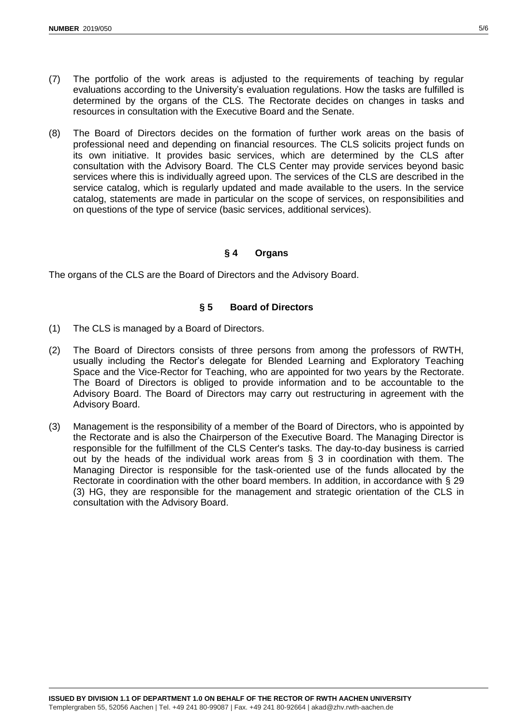- (7) The portfolio of the work areas is adjusted to the requirements of teaching by regular evaluations according to the University's evaluation regulations. How the tasks are fulfilled is determined by the organs of the CLS. The Rectorate decides on changes in tasks and
- (8) The Board of Directors decides on the formation of further work areas on the basis of professional need and depending on financial resources. The CLS solicits project funds on its own initiative. It provides basic services, which are determined by the CLS after consultation with the Advisory Board. The CLS Center may provide services beyond basic services where this is individually agreed upon. The services of the CLS are described in the service catalog, which is regularly updated and made available to the users. In the service catalog, statements are made in particular on the scope of services, on responsibilities and on questions of the type of service (basic services, additional services).

# **§ 4 Organs**

The organs of the CLS are the Board of Directors and the Advisory Board.

resources in consultation with the Executive Board and the Senate.

## **§ 5 Board of Directors**

- (1) The CLS is managed by a Board of Directors.
- (2) The Board of Directors consists of three persons from among the professors of RWTH, usually including the Rector's delegate for Blended Learning and Exploratory Teaching Space and the Vice-Rector for Teaching, who are appointed for two years by the Rectorate. The Board of Directors is obliged to provide information and to be accountable to the Advisory Board. The Board of Directors may carry out restructuring in agreement with the Advisory Board.
- (3) Management is the responsibility of a member of the Board of Directors, who is appointed by the Rectorate and is also the Chairperson of the Executive Board. The Managing Director is responsible for the fulfillment of the CLS Center's tasks. The day-to-day business is carried out by the heads of the individual work areas from § 3 in coordination with them. The Managing Director is responsible for the task-oriented use of the funds allocated by the Rectorate in coordination with the other board members. In addition, in accordance with § 29 (3) HG, they are responsible for the management and strategic orientation of the CLS in consultation with the Advisory Board.